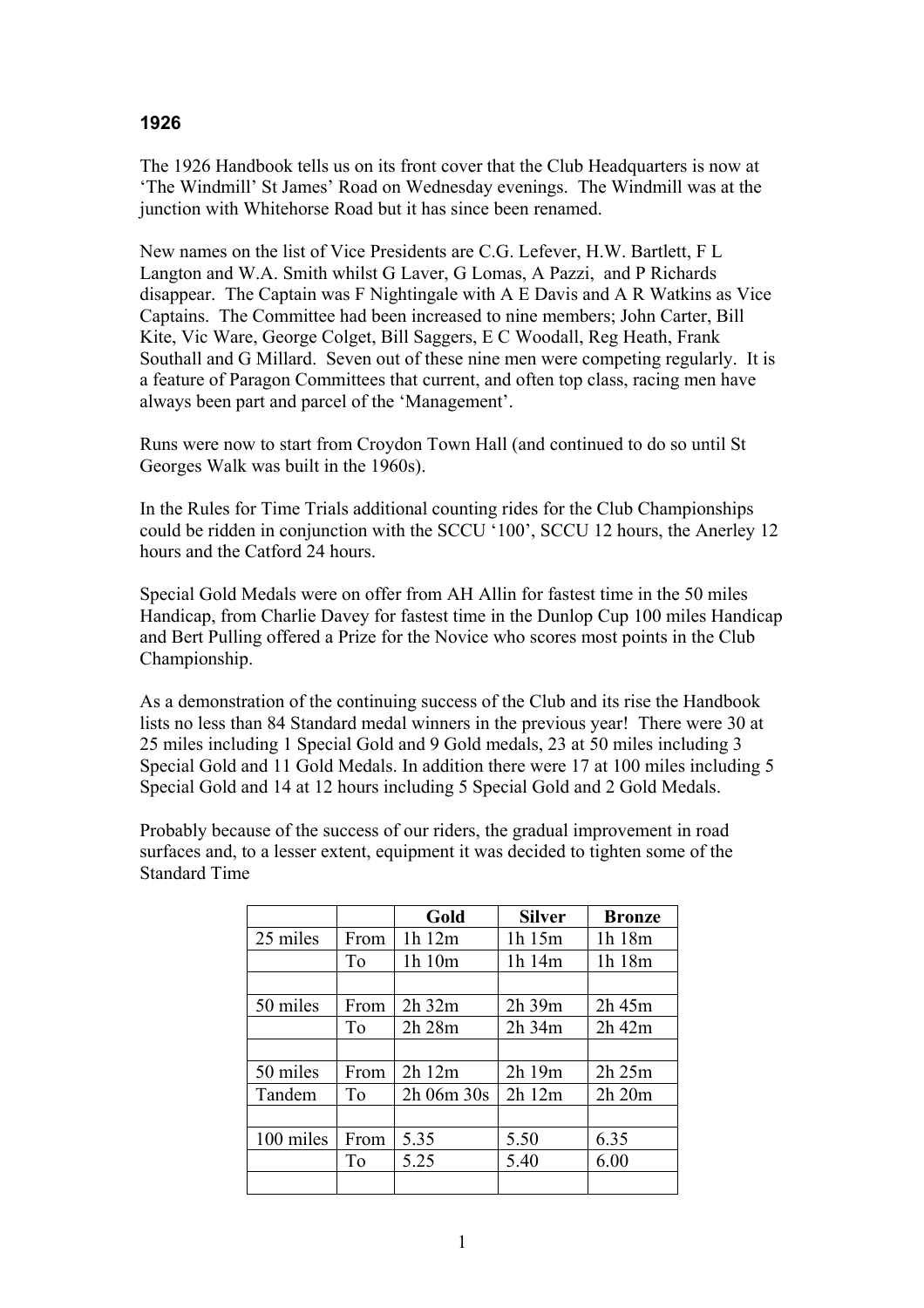## **1926**

The 1926 Handbook tells us on its front cover that the Club Headquarters is now at 'The Windmill' St James' Road on Wednesday evenings. The Windmill was at the junction with Whitehorse Road but it has since been renamed.

New names on the list of Vice Presidents are C.G. Lefever, H.W. Bartlett, F L Langton and W.A. Smith whilst G Laver, G Lomas, A Pazzi, and P Richards disappear. The Captain was F Nightingale with A E Davis and A R Watkins as Vice Captains. The Committee had been increased to nine members; John Carter, Bill Kite, Vic Ware, George Colget, Bill Saggers, E C Woodall, Reg Heath, Frank Southall and G Millard. Seven out of these nine men were competing regularly. It is a feature of Paragon Committees that current, and often top class, racing men have always been part and parcel of the 'Management'.

Runs were now to start from Croydon Town Hall (and continued to do so until St Georges Walk was built in the 1960s).

In the Rules for Time Trials additional counting rides for the Club Championships could be ridden in conjunction with the SCCU '100', SCCU 12 hours, the Anerley 12 hours and the Catford 24 hours.

Special Gold Medals were on offer from AH Allin for fastest time in the 50 miles Handicap, from Charlie Davey for fastest time in the Dunlop Cup 100 miles Handicap and Bert Pulling offered a Prize for the Novice who scores most points in the Club Championship.

As a demonstration of the continuing success of the Club and its rise the Handbook lists no less than 84 Standard medal winners in the previous year! There were 30 at 25 miles including 1 Special Gold and 9 Gold medals, 23 at 50 miles including 3 Special Gold and 11 Gold Medals. In addition there were 17 at 100 miles including 5 Special Gold and 14 at 12 hours including 5 Special Gold and 2 Gold Medals.

Probably because of the success of our riders, the gradual improvement in road surfaces and, to a lesser extent, equipment it was decided to tighten some of the Standard Time

|           |                | Gold           | <b>Silver</b> | <b>Bronze</b> |  |
|-----------|----------------|----------------|---------------|---------------|--|
| 25 miles  | From           | 1h 12m         | 1h 15m        | 1h 18m        |  |
|           | To             | 1h 10m         | 1h 14m        | 1h 18m        |  |
|           |                |                |               |               |  |
| 50 miles  | From           | 2h 32m         | 2h 39m        | 2h 45m        |  |
|           | T <sub>o</sub> | 2h 28m         | $2h$ 34 $m$   | $2h$ 42 $m$   |  |
|           |                |                |               |               |  |
| 50 miles  | From           | 2h12m          | $2h$ 19 $m$   | 2h 25m        |  |
| Tandem    | To             | $2h$ 06m $30s$ | 2h12m         | 2h 20m        |  |
|           |                |                |               |               |  |
| 100 miles | From           | 5.35           | 5.50          | 6.35          |  |
|           | To             | 5.25           | 5.40          | 6.00          |  |
|           |                |                |               |               |  |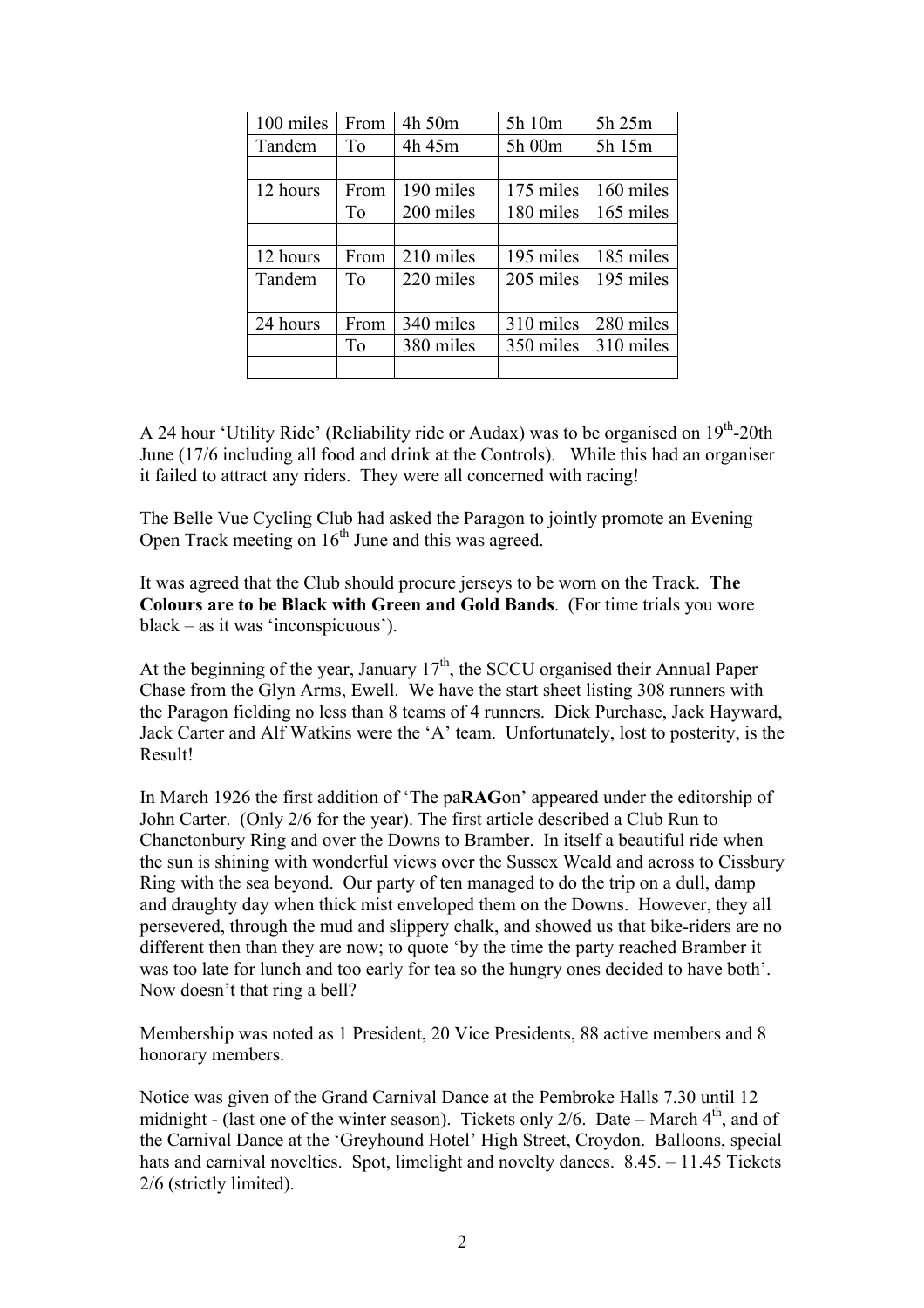| 100 miles                | From           | 4h 50m    | 5h 10m    | 5h 25m    |  |
|--------------------------|----------------|-----------|-----------|-----------|--|
| Tandem<br>T <sub>o</sub> |                | 4h 45m    | 5h 00m    | 5h 15m    |  |
|                          |                |           |           |           |  |
| 12 hours                 | From           | 190 miles | 175 miles | 160 miles |  |
| To                       |                | 200 miles | 180 miles | 165 miles |  |
|                          |                |           |           |           |  |
| 12 hours                 | From           | 210 miles | 195 miles | 185 miles |  |
| Tandem                   | T <sub>o</sub> | 220 miles | 205 miles | 195 miles |  |
|                          |                |           |           |           |  |
| 24 hours<br>From         |                | 340 miles | 310 miles | 280 miles |  |
|                          | To             | 380 miles | 350 miles | 310 miles |  |
|                          |                |           |           |           |  |

A 24 hour 'Utility Ride' (Reliability ride or Audax) was to be organised on  $19<sup>th</sup>$ -20th June (17/6 including all food and drink at the Controls). While this had an organiser it failed to attract any riders. They were all concerned with racing!

The Belle Vue Cycling Club had asked the Paragon to jointly promote an Evening Open Track meeting on  $16<sup>th</sup>$  June and this was agreed.

It was agreed that the Club should procure jerseys to be worn on the Track. **The Colours are to be Black with Green and Gold Bands**. (For time trials you wore black – as it was 'inconspicuous').

At the beginning of the year, January  $17<sup>th</sup>$ , the SCCU organised their Annual Paper Chase from the Glyn Arms, Ewell. We have the start sheet listing 308 runners with the Paragon fielding no less than 8 teams of 4 runners. Dick Purchase, Jack Hayward, Jack Carter and Alf Watkins were the 'A' team. Unfortunately, lost to posterity, is the Result!

In March 1926 the first addition of 'The pa**RAG**on' appeared under the editorship of John Carter. (Only 2/6 for the year). The first article described a Club Run to Chanctonbury Ring and over the Downs to Bramber. In itself a beautiful ride when the sun is shining with wonderful views over the Sussex Weald and across to Cissbury Ring with the sea beyond. Our party of ten managed to do the trip on a dull, damp and draughty day when thick mist enveloped them on the Downs. However, they all persevered, through the mud and slippery chalk, and showed us that bike-riders are no different then than they are now; to quote 'by the time the party reached Bramber it was too late for lunch and too early for tea so the hungry ones decided to have both'. Now doesn't that ring a bell?

Membership was noted as 1 President, 20 Vice Presidents, 88 active members and 8 honorary members.

Notice was given of the Grand Carnival Dance at the Pembroke Halls 7.30 until 12 midnight - (last one of the winter season). Tickets only 2/6. Date – March  $4<sup>th</sup>$ , and of the Carnival Dance at the 'Greyhound Hotel' High Street, Croydon. Balloons, special hats and carnival novelties. Spot, limelight and novelty dances. 8.45. – 11.45 Tickets 2/6 (strictly limited).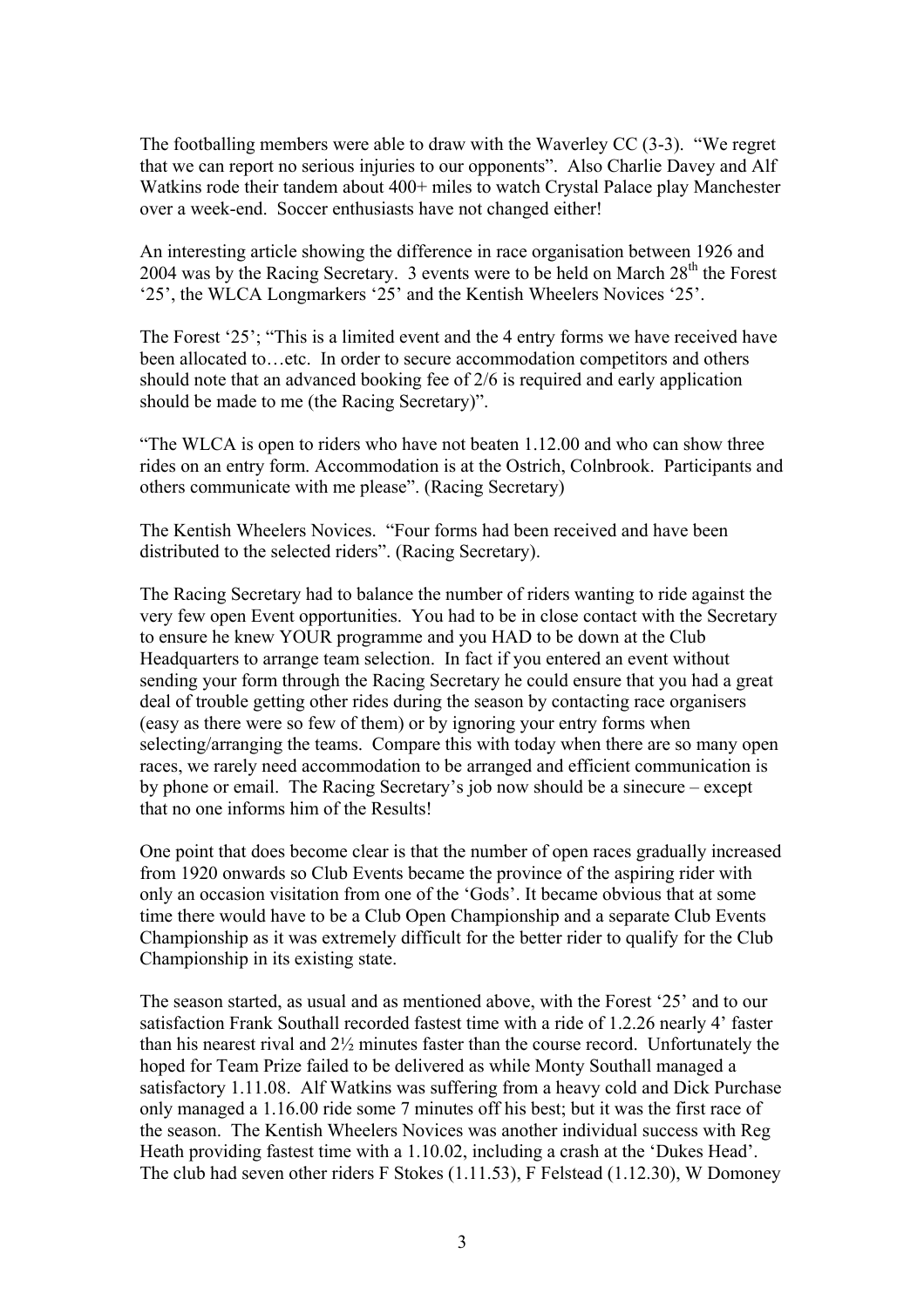The footballing members were able to draw with the Waverley CC (3-3). "We regret that we can report no serious injuries to our opponents". Also Charlie Davey and Alf Watkins rode their tandem about 400+ miles to watch Crystal Palace play Manchester over a week-end. Soccer enthusiasts have not changed either!

An interesting article showing the difference in race organisation between 1926 and 2004 was by the Racing Secretary. 3 events were to be held on March  $28<sup>th</sup>$  the Forest '25', the WLCA Longmarkers '25' and the Kentish Wheelers Novices '25'.

The Forest '25'; "This is a limited event and the 4 entry forms we have received have been allocated to…etc. In order to secure accommodation competitors and others should note that an advanced booking fee of 2/6 is required and early application should be made to me (the Racing Secretary)".

"The WLCA is open to riders who have not beaten 1.12.00 and who can show three rides on an entry form. Accommodation is at the Ostrich, Colnbrook. Participants and others communicate with me please". (Racing Secretary)

The Kentish Wheelers Novices. "Four forms had been received and have been distributed to the selected riders". (Racing Secretary).

The Racing Secretary had to balance the number of riders wanting to ride against the very few open Event opportunities. You had to be in close contact with the Secretary to ensure he knew YOUR programme and you HAD to be down at the Club Headquarters to arrange team selection. In fact if you entered an event without sending your form through the Racing Secretary he could ensure that you had a great deal of trouble getting other rides during the season by contacting race organisers (easy as there were so few of them) or by ignoring your entry forms when selecting/arranging the teams. Compare this with today when there are so many open races, we rarely need accommodation to be arranged and efficient communication is by phone or email. The Racing Secretary's job now should be a sinecure – except that no one informs him of the Results!

One point that does become clear is that the number of open races gradually increased from 1920 onwards so Club Events became the province of the aspiring rider with only an occasion visitation from one of the 'Gods'. It became obvious that at some time there would have to be a Club Open Championship and a separate Club Events Championship as it was extremely difficult for the better rider to qualify for the Club Championship in its existing state.

The season started, as usual and as mentioned above, with the Forest '25' and to our satisfaction Frank Southall recorded fastest time with a ride of 1.2.26 nearly 4' faster than his nearest rival and 2½ minutes faster than the course record. Unfortunately the hoped for Team Prize failed to be delivered as while Monty Southall managed a satisfactory 1.11.08. Alf Watkins was suffering from a heavy cold and Dick Purchase only managed a 1.16.00 ride some 7 minutes off his best; but it was the first race of the season. The Kentish Wheelers Novices was another individual success with Reg Heath providing fastest time with a 1.10.02, including a crash at the 'Dukes Head'. The club had seven other riders F Stokes (1.11.53), F Felstead (1.12.30), W Domoney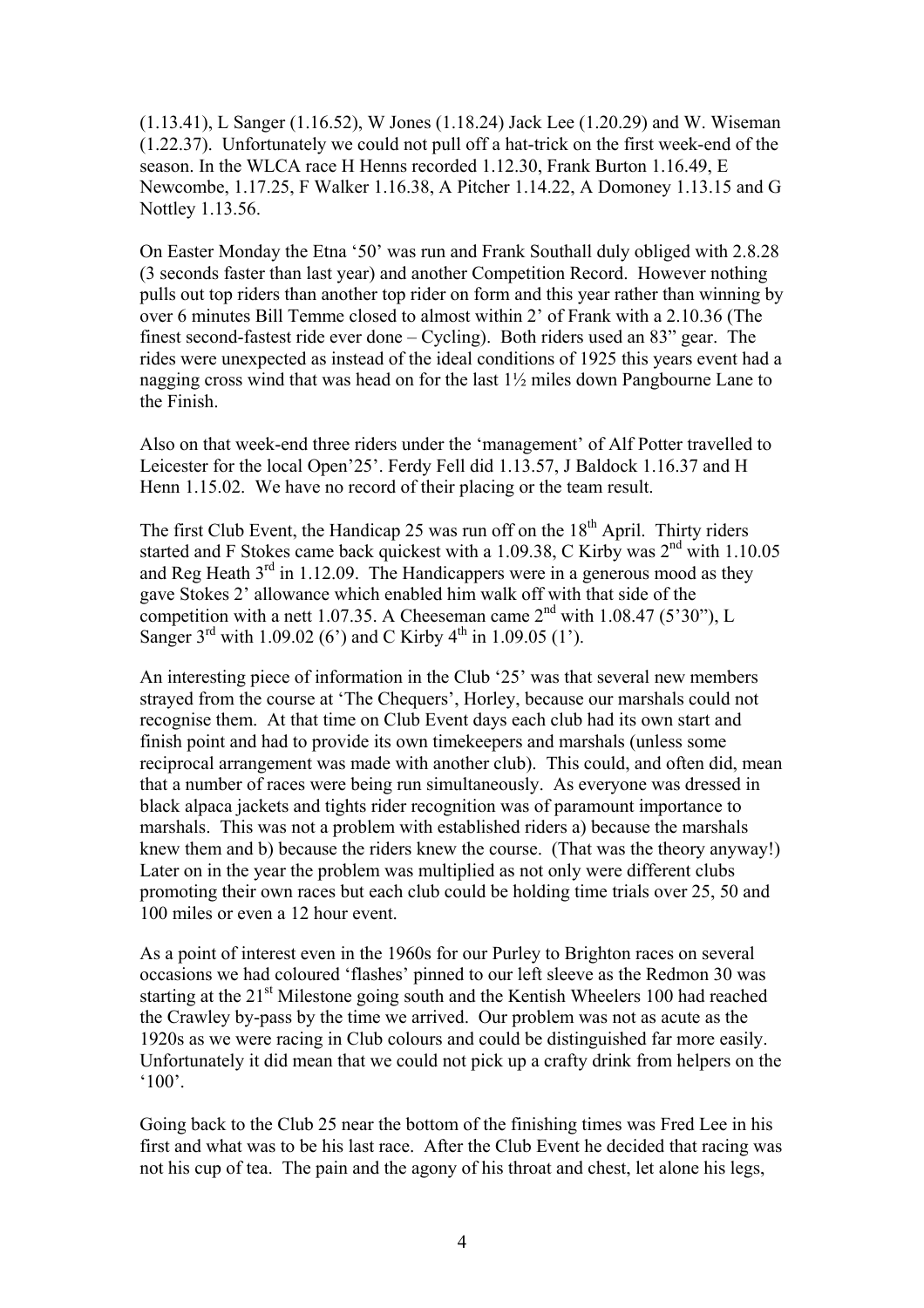(1.13.41), L Sanger (1.16.52), W Jones (1.18.24) Jack Lee (1.20.29) and W. Wiseman (1.22.37). Unfortunately we could not pull off a hat-trick on the first week-end of the season. In the WLCA race H Henns recorded 1.12.30, Frank Burton 1.16.49, E Newcombe, 1.17.25, F Walker 1.16.38, A Pitcher 1.14.22, A Domoney 1.13.15 and G Nottley 1.13.56.

On Easter Monday the Etna '50' was run and Frank Southall duly obliged with 2.8.28 (3 seconds faster than last year) and another Competition Record. However nothing pulls out top riders than another top rider on form and this year rather than winning by over 6 minutes Bill Temme closed to almost within 2' of Frank with a 2.10.36 (The finest second-fastest ride ever done – Cycling). Both riders used an 83" gear. The rides were unexpected as instead of the ideal conditions of 1925 this years event had a nagging cross wind that was head on for the last 1½ miles down Pangbourne Lane to the Finish.

Also on that week-end three riders under the 'management' of Alf Potter travelled to Leicester for the local Open'25'. Ferdy Fell did 1.13.57, J Baldock 1.16.37 and H Henn 1.15.02. We have no record of their placing or the team result.

The first Club Event, the Handicap 25 was run off on the  $18<sup>th</sup>$  April. Thirty riders started and F Stokes came back quickest with a 1.09.38, C Kirby was 2<sup>nd</sup> with 1.10.05 and Reg Heath  $3<sup>rd</sup>$  in 1.12.09. The Handicappers were in a generous mood as they gave Stokes 2' allowance which enabled him walk off with that side of the competition with a nett 1.07.35. A Cheeseman came  $2<sup>nd</sup>$  with 1.08.47 (5'30"), L Sanger  $3^{rd}$  with 1.09.02 (6') and C Kirby  $4^{th}$  in 1.09.05 (1').

An interesting piece of information in the Club '25' was that several new members strayed from the course at 'The Chequers', Horley, because our marshals could not recognise them. At that time on Club Event days each club had its own start and finish point and had to provide its own timekeepers and marshals (unless some reciprocal arrangement was made with another club). This could, and often did, mean that a number of races were being run simultaneously. As everyone was dressed in black alpaca jackets and tights rider recognition was of paramount importance to marshals. This was not a problem with established riders a) because the marshals knew them and b) because the riders knew the course. (That was the theory anyway!) Later on in the year the problem was multiplied as not only were different clubs promoting their own races but each club could be holding time trials over 25, 50 and 100 miles or even a 12 hour event.

As a point of interest even in the 1960s for our Purley to Brighton races on several occasions we had coloured 'flashes' pinned to our left sleeve as the Redmon 30 was starting at the  $21<sup>st</sup>$  Milestone going south and the Kentish Wheelers 100 had reached the Crawley by-pass by the time we arrived. Our problem was not as acute as the 1920s as we were racing in Club colours and could be distinguished far more easily. Unfortunately it did mean that we could not pick up a crafty drink from helpers on the  $^{\circ}100$ '.

Going back to the Club 25 near the bottom of the finishing times was Fred Lee in his first and what was to be his last race. After the Club Event he decided that racing was not his cup of tea. The pain and the agony of his throat and chest, let alone his legs,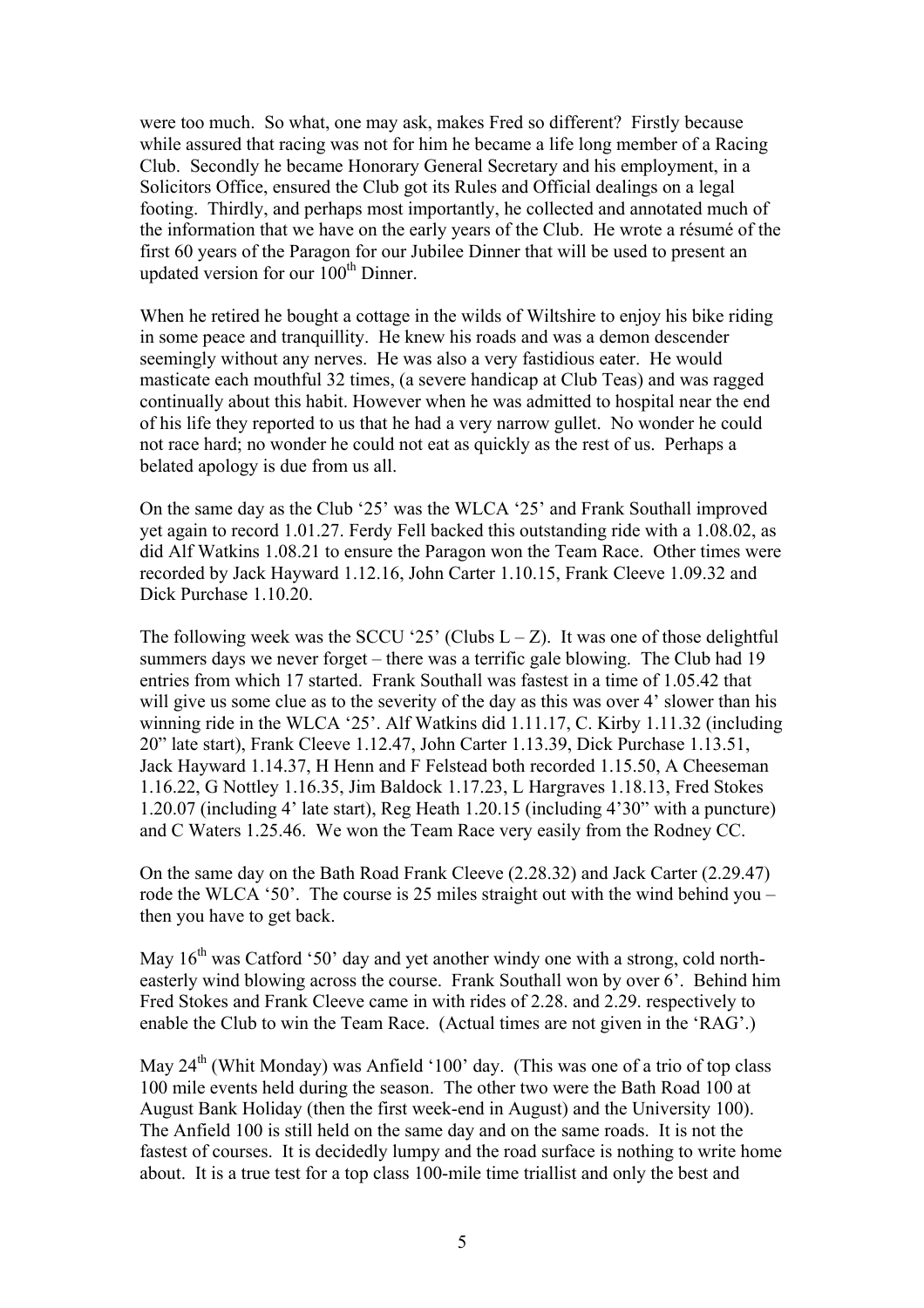were too much. So what, one may ask, makes Fred so different? Firstly because while assured that racing was not for him he became a life long member of a Racing Club. Secondly he became Honorary General Secretary and his employment, in a Solicitors Office, ensured the Club got its Rules and Official dealings on a legal footing. Thirdly, and perhaps most importantly, he collected and annotated much of the information that we have on the early years of the Club. He wrote a résumé of the first 60 years of the Paragon for our Jubilee Dinner that will be used to present an updated version for our 100<sup>th</sup> Dinner.

When he retired he bought a cottage in the wilds of Wiltshire to enjoy his bike riding in some peace and tranquillity. He knew his roads and was a demon descender seemingly without any nerves. He was also a very fastidious eater. He would masticate each mouthful 32 times, (a severe handicap at Club Teas) and was ragged continually about this habit. However when he was admitted to hospital near the end of his life they reported to us that he had a very narrow gullet. No wonder he could not race hard; no wonder he could not eat as quickly as the rest of us. Perhaps a belated apology is due from us all.

On the same day as the Club '25' was the WLCA '25' and Frank Southall improved yet again to record 1.01.27. Ferdy Fell backed this outstanding ride with a 1.08.02, as did Alf Watkins 1.08.21 to ensure the Paragon won the Team Race. Other times were recorded by Jack Hayward 1.12.16, John Carter 1.10.15, Frank Cleeve 1.09.32 and Dick Purchase 1.10.20

The following week was the SCCU '25' (Clubs  $L - Z$ ). It was one of those delightful summers days we never forget – there was a terrific gale blowing. The Club had 19 entries from which 17 started. Frank Southall was fastest in a time of 1.05.42 that will give us some clue as to the severity of the day as this was over 4' slower than his winning ride in the WLCA '25'. Alf Watkins did 1.11.17, C. Kirby 1.11.32 (including 20" late start), Frank Cleeve 1.12.47, John Carter 1.13.39, Dick Purchase 1.13.51, Jack Hayward 1.14.37, H Henn and F Felstead both recorded 1.15.50, A Cheeseman 1.16.22, G Nottley 1.16.35, Jim Baldock 1.17.23, L Hargraves 1.18.13, Fred Stokes 1.20.07 (including 4' late start), Reg Heath 1.20.15 (including 4'30" with a puncture) and C Waters 1.25.46. We won the Team Race very easily from the Rodney CC.

On the same day on the Bath Road Frank Cleeve (2.28.32) and Jack Carter (2.29.47) rode the WLCA '50'. The course is 25 miles straight out with the wind behind you – then you have to get back.

May  $16<sup>th</sup>$  was Catford '50' day and yet another windy one with a strong, cold northeasterly wind blowing across the course. Frank Southall won by over 6'. Behind him Fred Stokes and Frank Cleeve came in with rides of 2.28. and 2.29. respectively to enable the Club to win the Team Race. (Actual times are not given in the 'RAG'.)

May  $24<sup>th</sup>$  (Whit Monday) was Anfield '100' day. (This was one of a trio of top class 100 mile events held during the season. The other two were the Bath Road 100 at August Bank Holiday (then the first week-end in August) and the University 100). The Anfield 100 is still held on the same day and on the same roads. It is not the fastest of courses. It is decidedly lumpy and the road surface is nothing to write home about. It is a true test for a top class 100-mile time triallist and only the best and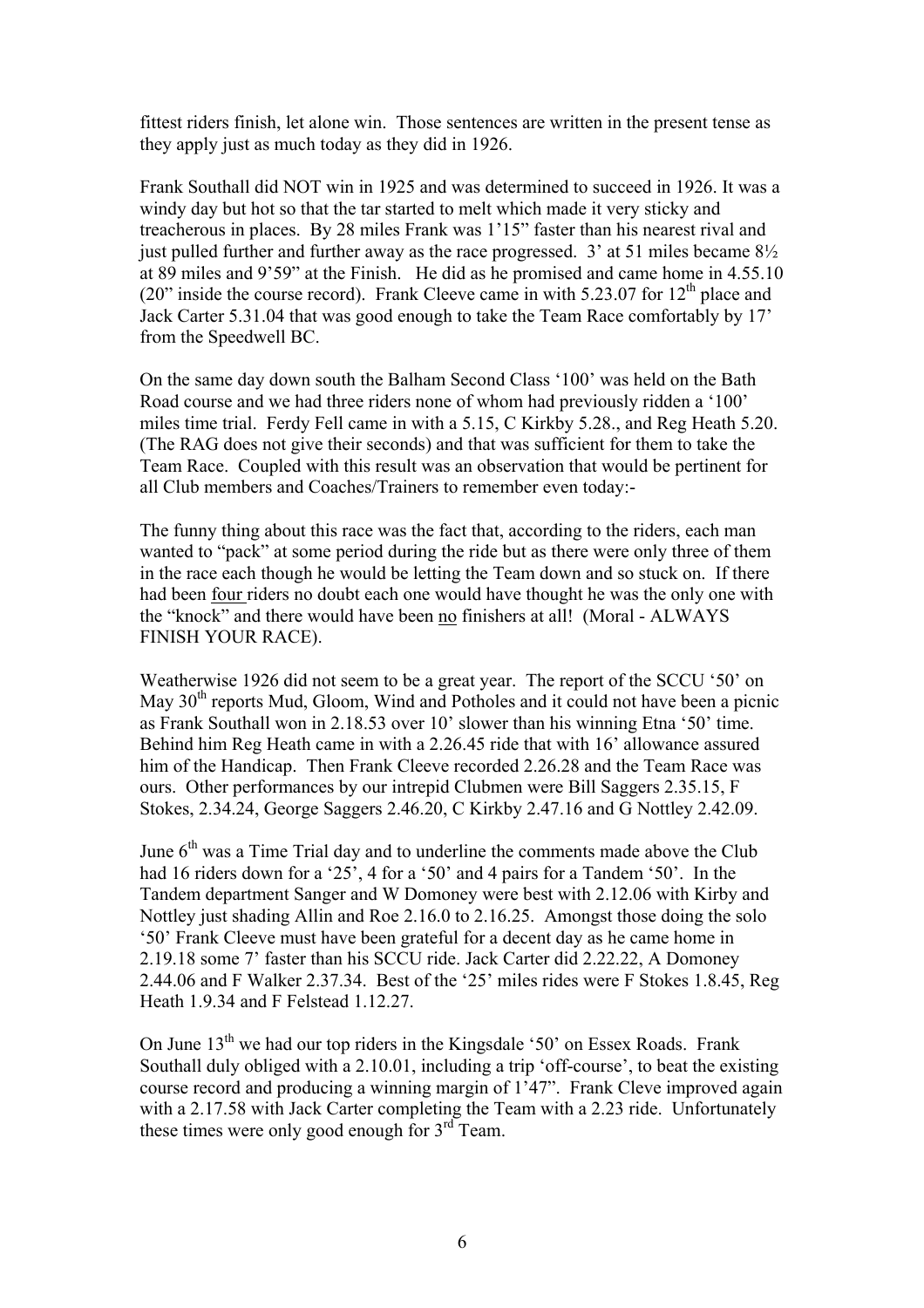fittest riders finish, let alone win. Those sentences are written in the present tense as they apply just as much today as they did in 1926.

Frank Southall did NOT win in 1925 and was determined to succeed in 1926. It was a windy day but hot so that the tar started to melt which made it very sticky and treacherous in places. By 28 miles Frank was 1'15" faster than his nearest rival and just pulled further and further away as the race progressed.  $3'$  at 51 miles became  $8\frac{1}{2}$ at 89 miles and 9'59" at the Finish. He did as he promised and came home in 4.55.10 (20" inside the course record). Frank Cleeve came in with  $5.23.07$  for  $12<sup>th</sup>$  place and Jack Carter 5.31.04 that was good enough to take the Team Race comfortably by 17' from the Speedwell BC.

On the same day down south the Balham Second Class '100' was held on the Bath Road course and we had three riders none of whom had previously ridden a '100' miles time trial. Ferdy Fell came in with a 5.15, C Kirkby 5.28., and Reg Heath 5.20. (The RAG does not give their seconds) and that was sufficient for them to take the Team Race. Coupled with this result was an observation that would be pertinent for all Club members and Coaches/Trainers to remember even today:-

The funny thing about this race was the fact that, according to the riders, each man wanted to "pack" at some period during the ride but as there were only three of them in the race each though he would be letting the Team down and so stuck on. If there had been four riders no doubt each one would have thought he was the only one with the "knock" and there would have been no finishers at all! (Moral - ALWAYS FINISH YOUR RACE).

Weatherwise 1926 did not seem to be a great year. The report of the SCCU '50' on May 30<sup>th</sup> reports Mud, Gloom, Wind and Potholes and it could not have been a picnic as Frank Southall won in 2.18.53 over 10' slower than his winning Etna '50' time. Behind him Reg Heath came in with a 2.26.45 ride that with 16' allowance assured him of the Handicap. Then Frank Cleeve recorded 2.26.28 and the Team Race was ours. Other performances by our intrepid Clubmen were Bill Saggers 2.35.15, F Stokes, 2.34.24, George Saggers 2.46.20, C Kirkby 2.47.16 and G Nottley 2.42.09.

June  $6<sup>th</sup>$  was a Time Trial day and to underline the comments made above the Club had 16 riders down for a '25', 4 for a '50' and 4 pairs for a Tandem '50'. In the Tandem department Sanger and W Domoney were best with 2.12.06 with Kirby and Nottley just shading Allin and Roe 2.16.0 to 2.16.25. Amongst those doing the solo '50' Frank Cleeve must have been grateful for a decent day as he came home in 2.19.18 some 7' faster than his SCCU ride. Jack Carter did 2.22.22, A Domoney 2.44.06 and F Walker 2.37.34. Best of the '25' miles rides were F Stokes 1.8.45, Reg Heath 1.9.34 and F Felstead 1.12.27.

On June  $13<sup>th</sup>$  we had our top riders in the Kingsdale '50' on Essex Roads. Frank Southall duly obliged with a 2.10.01, including a trip 'off-course', to beat the existing course record and producing a winning margin of 1'47". Frank Cleve improved again with a 2.17.58 with Jack Carter completing the Team with a 2.23 ride. Unfortunately these times were only good enough for  $3<sup>rd</sup>$  Team.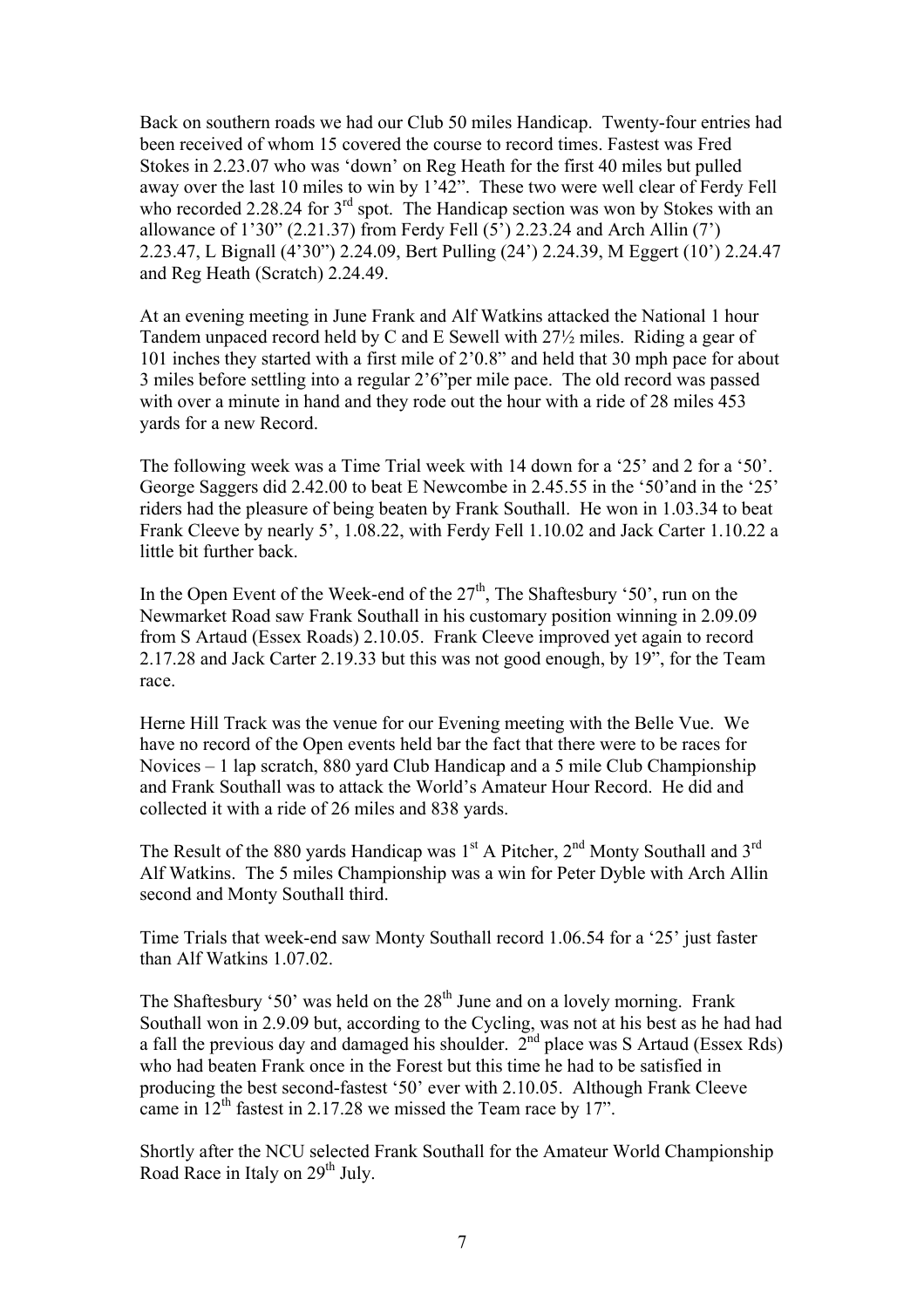Back on southern roads we had our Club 50 miles Handicap. Twenty-four entries had been received of whom 15 covered the course to record times. Fastest was Fred Stokes in 2.23.07 who was 'down' on Reg Heath for the first 40 miles but pulled away over the last 10 miles to win by 1'42". These two were well clear of Ferdy Fell who recorded 2.28.24 for  $3<sup>rd</sup>$  spot. The Handicap section was won by Stokes with an allowance of 1'30" (2.21.37) from Ferdy Fell  $(5')$  2.23.24 and Arch Allin  $(7')$ 2.23.47, L Bignall (4'30") 2.24.09, Bert Pulling (24') 2.24.39, M Eggert (10') 2.24.47 and Reg Heath (Scratch) 2.24.49.

At an evening meeting in June Frank and Alf Watkins attacked the National 1 hour Tandem unpaced record held by C and E Sewell with 27½ miles. Riding a gear of 101 inches they started with a first mile of 2'0.8" and held that 30 mph pace for about 3 miles before settling into a regular 2'6"per mile pace. The old record was passed with over a minute in hand and they rode out the hour with a ride of 28 miles 453 yards for a new Record.

The following week was a Time Trial week with 14 down for a '25' and 2 for a '50'. George Saggers did 2.42.00 to beat E Newcombe in 2.45.55 in the '50'and in the '25' riders had the pleasure of being beaten by Frank Southall. He won in 1.03.34 to beat Frank Cleeve by nearly 5', 1.08.22, with Ferdy Fell 1.10.02 and Jack Carter 1.10.22 a little bit further back.

In the Open Event of the Week-end of the  $27<sup>th</sup>$ , The Shaftesbury '50', run on the Newmarket Road saw Frank Southall in his customary position winning in 2.09.09 from S Artaud (Essex Roads) 2.10.05. Frank Cleeve improved yet again to record 2.17.28 and Jack Carter 2.19.33 but this was not good enough, by 19", for the Team race.

Herne Hill Track was the venue for our Evening meeting with the Belle Vue. We have no record of the Open events held bar the fact that there were to be races for Novices – 1 lap scratch, 880 yard Club Handicap and a 5 mile Club Championship and Frank Southall was to attack the World's Amateur Hour Record. He did and collected it with a ride of 26 miles and 838 yards.

The Result of the 880 vards Handicap was  $1<sup>st</sup>$  A Pitcher,  $2<sup>nd</sup>$  Monty Southall and  $3<sup>rd</sup>$ Alf Watkins. The 5 miles Championship was a win for Peter Dyble with Arch Allin second and Monty Southall third.

Time Trials that week-end saw Monty Southall record 1.06.54 for a '25' just faster than Alf Watkins 1.07.02.

The Shaftesbury '50' was held on the  $28<sup>th</sup>$  June and on a lovely morning. Frank Southall won in 2.9.09 but, according to the Cycling, was not at his best as he had had a fall the previous day and damaged his shoulder. 2nd place was S Artaud (Essex Rds) who had beaten Frank once in the Forest but this time he had to be satisfied in producing the best second-fastest '50' ever with 2.10.05. Although Frank Cleeve came in  $12<sup>th</sup>$  fastest in 2.17.28 we missed the Team race by 17".

Shortly after the NCU selected Frank Southall for the Amateur World Championship Road Race in Italy on 29<sup>th</sup> July.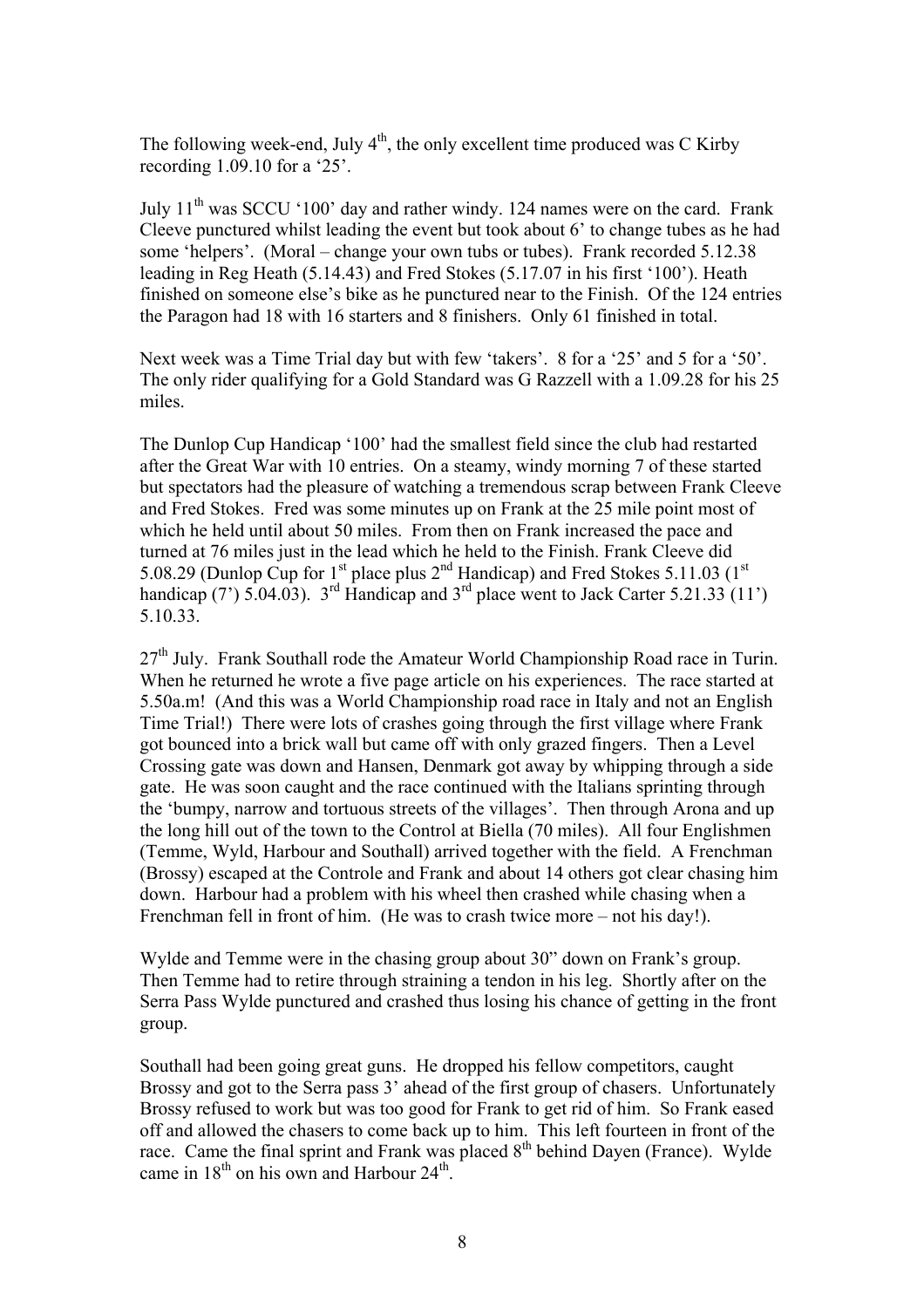The following week-end, July  $4<sup>th</sup>$ , the only excellent time produced was C Kirby recording 1.09.10 for a '25'.

July  $11<sup>th</sup>$  was SCCU '100' day and rather windy. 124 names were on the card. Frank Cleeve punctured whilst leading the event but took about 6' to change tubes as he had some 'helpers'. (Moral – change your own tubs or tubes). Frank recorded 5.12.38 leading in Reg Heath (5.14.43) and Fred Stokes (5.17.07 in his first '100'). Heath finished on someone else's bike as he punctured near to the Finish. Of the 124 entries the Paragon had 18 with 16 starters and 8 finishers. Only 61 finished in total.

Next week was a Time Trial day but with few 'takers'. 8 for a '25' and 5 for a '50'. The only rider qualifying for a Gold Standard was G Razzell with a 1.09.28 for his 25 miles.

The Dunlop Cup Handicap '100' had the smallest field since the club had restarted after the Great War with 10 entries. On a steamy, windy morning 7 of these started but spectators had the pleasure of watching a tremendous scrap between Frank Cleeve and Fred Stokes. Fred was some minutes up on Frank at the 25 mile point most of which he held until about 50 miles. From then on Frank increased the pace and turned at 76 miles just in the lead which he held to the Finish. Frank Cleeve did 5.08.29 (Dunlop Cup for 1<sup>st</sup> place plus 2<sup>nd</sup> Handicap) and Fred Stokes 5.11.03 (1<sup>st</sup> handicap (7') 5.04.03).  $3^{rd}$  Handicap and  $3^{rd}$  place went to Jack Carter 5.21.33 (11') 5.10.33.

 $27<sup>th</sup>$  July. Frank Southall rode the Amateur World Championship Road race in Turin. When he returned he wrote a five page article on his experiences. The race started at 5.50a.m! (And this was a World Championship road race in Italy and not an English Time Trial!) There were lots of crashes going through the first village where Frank got bounced into a brick wall but came off with only grazed fingers. Then a Level Crossing gate was down and Hansen, Denmark got away by whipping through a side gate. He was soon caught and the race continued with the Italians sprinting through the 'bumpy, narrow and tortuous streets of the villages'. Then through Arona and up the long hill out of the town to the Control at Biella (70 miles). All four Englishmen (Temme, Wyld, Harbour and Southall) arrived together with the field. A Frenchman (Brossy) escaped at the Controle and Frank and about 14 others got clear chasing him down. Harbour had a problem with his wheel then crashed while chasing when a Frenchman fell in front of him. (He was to crash twice more – not his day!).

Wylde and Temme were in the chasing group about 30" down on Frank's group. Then Temme had to retire through straining a tendon in his leg. Shortly after on the Serra Pass Wylde punctured and crashed thus losing his chance of getting in the front group.

Southall had been going great guns. He dropped his fellow competitors, caught Brossy and got to the Serra pass 3' ahead of the first group of chasers. Unfortunately Brossy refused to work but was too good for Frank to get rid of him. So Frank eased off and allowed the chasers to come back up to him. This left fourteen in front of the race. Came the final sprint and Frank was placed 8<sup>th</sup> behind Dayen (France). Wylde came in  $18<sup>th</sup>$  on his own and Harbour  $24<sup>th</sup>$ .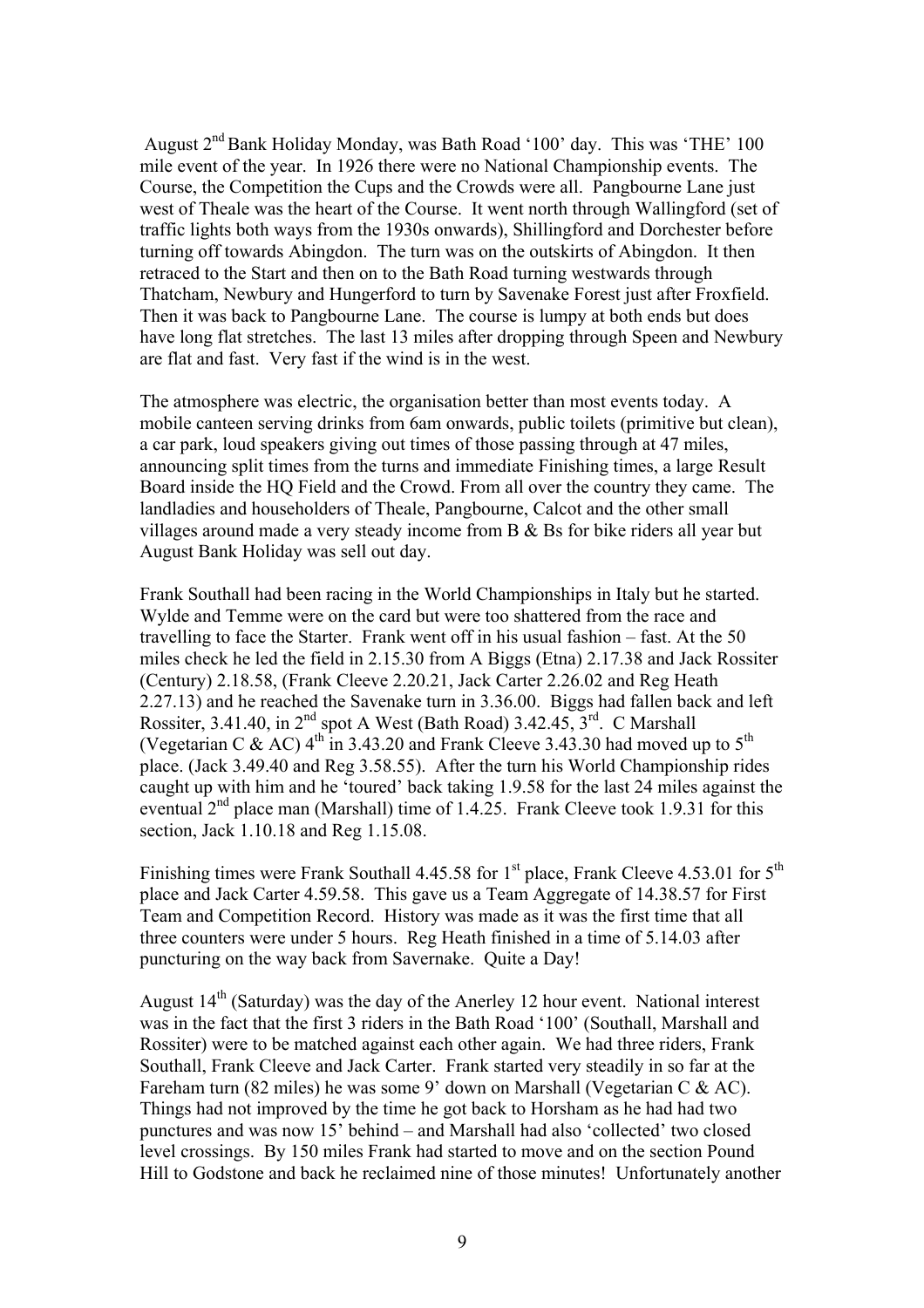August 2nd Bank Holiday Monday, was Bath Road '100' day. This was 'THE' 100 mile event of the year. In 1926 there were no National Championship events. The Course, the Competition the Cups and the Crowds were all. Pangbourne Lane just west of Theale was the heart of the Course. It went north through Wallingford (set of traffic lights both ways from the 1930s onwards), Shillingford and Dorchester before turning off towards Abingdon. The turn was on the outskirts of Abingdon. It then retraced to the Start and then on to the Bath Road turning westwards through Thatcham, Newbury and Hungerford to turn by Savenake Forest just after Froxfield. Then it was back to Pangbourne Lane. The course is lumpy at both ends but does have long flat stretches. The last 13 miles after dropping through Speen and Newbury are flat and fast. Very fast if the wind is in the west.

The atmosphere was electric, the organisation better than most events today. A mobile canteen serving drinks from 6am onwards, public toilets (primitive but clean), a car park, loud speakers giving out times of those passing through at 47 miles, announcing split times from the turns and immediate Finishing times, a large Result Board inside the HQ Field and the Crowd. From all over the country they came. The landladies and householders of Theale, Pangbourne, Calcot and the other small villages around made a very steady income from B & Bs for bike riders all year but August Bank Holiday was sell out day.

Frank Southall had been racing in the World Championships in Italy but he started. Wylde and Temme were on the card but were too shattered from the race and travelling to face the Starter. Frank went off in his usual fashion – fast. At the 50 miles check he led the field in 2.15.30 from A Biggs (Etna) 2.17.38 and Jack Rossiter (Century) 2.18.58, (Frank Cleeve 2.20.21, Jack Carter 2.26.02 and Reg Heath 2.27.13) and he reached the Savenake turn in 3.36.00. Biggs had fallen back and left Rossiter, 3.41.40, in  $2^{nd}$  spot A West (Bath Road) 3.42.45,  $3^{rd}$ . C Marshall (Vegetarian C & AC)  $4^{\text{th}}$  in 3.43.20 and Frank Cleeve 3.43.30 had moved up to  $5^{\text{th}}$ place. (Jack 3.49.40 and Reg 3.58.55). After the turn his World Championship rides caught up with him and he 'toured' back taking 1.9.58 for the last 24 miles against the eventual 2<sup>nd</sup> place man (Marshall) time of 1.4.25. Frank Cleeve took 1.9.31 for this section, Jack 1.10.18 and Reg 1.15.08.

Finishing times were Frank Southall 4.45.58 for  $1<sup>st</sup>$  place, Frank Cleeve 4.53.01 for  $5<sup>th</sup>$ place and Jack Carter 4.59.58. This gave us a Team Aggregate of 14.38.57 for First Team and Competition Record. History was made as it was the first time that all three counters were under 5 hours. Reg Heath finished in a time of 5.14.03 after puncturing on the way back from Savernake. Quite a Day!

August  $14<sup>th</sup>$  (Saturday) was the day of the Anerley 12 hour event. National interest was in the fact that the first 3 riders in the Bath Road '100' (Southall, Marshall and Rossiter) were to be matched against each other again. We had three riders, Frank Southall, Frank Cleeve and Jack Carter. Frank started very steadily in so far at the Fareham turn (82 miles) he was some 9' down on Marshall (Vegetarian C & AC). Things had not improved by the time he got back to Horsham as he had had two punctures and was now 15' behind – and Marshall had also 'collected' two closed level crossings. By 150 miles Frank had started to move and on the section Pound Hill to Godstone and back he reclaimed nine of those minutes! Unfortunately another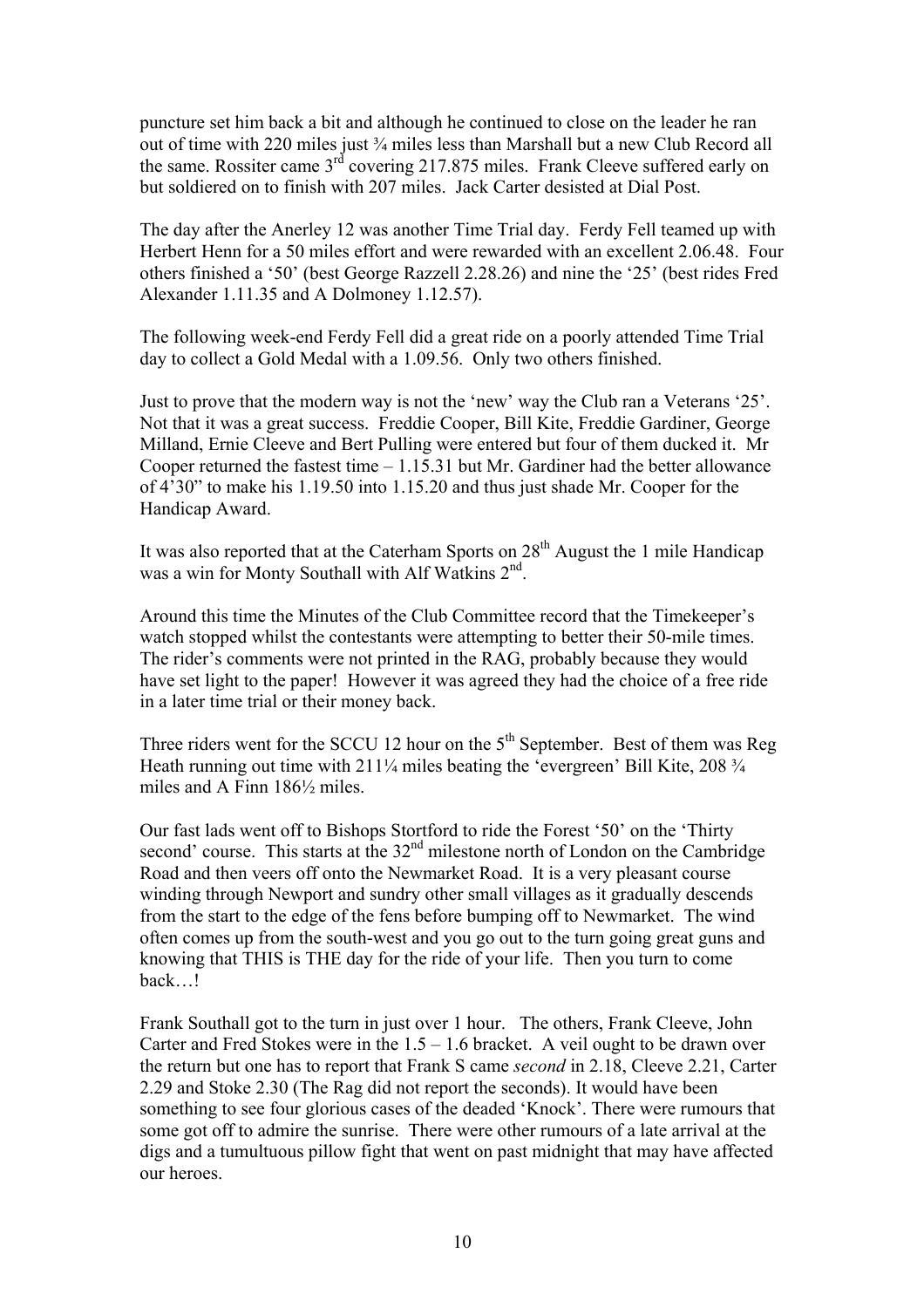puncture set him back a bit and although he continued to close on the leader he ran out of time with 220 miles just ¾ miles less than Marshall but a new Club Record all the same. Rossiter came  $3<sup>rd</sup>$  covering 217.875 miles. Frank Cleeve suffered early on but soldiered on to finish with 207 miles. Jack Carter desisted at Dial Post.

The day after the Anerley 12 was another Time Trial day. Ferdy Fell teamed up with Herbert Henn for a 50 miles effort and were rewarded with an excellent 2.06.48. Four others finished a '50' (best George Razzell 2.28.26) and nine the '25' (best rides Fred Alexander 1.11.35 and A Dolmoney 1.12.57).

The following week-end Ferdy Fell did a great ride on a poorly attended Time Trial day to collect a Gold Medal with a 1.09.56. Only two others finished.

Just to prove that the modern way is not the 'new' way the Club ran a Veterans '25'. Not that it was a great success. Freddie Cooper, Bill Kite, Freddie Gardiner, George Milland, Ernie Cleeve and Bert Pulling were entered but four of them ducked it. Mr Cooper returned the fastest time – 1.15.31 but Mr. Gardiner had the better allowance of 4'30" to make his 1.19.50 into 1.15.20 and thus just shade Mr. Cooper for the Handicap Award.

It was also reported that at the Caterham Sports on  $28<sup>th</sup>$  August the 1 mile Handicap was a win for Monty Southall with Alf Watkins 2<sup>nd</sup>.

Around this time the Minutes of the Club Committee record that the Timekeeper's watch stopped whilst the contestants were attempting to better their 50-mile times. The rider's comments were not printed in the RAG, probably because they would have set light to the paper! However it was agreed they had the choice of a free ride in a later time trial or their money back.

Three riders went for the SCCU 12 hour on the  $5<sup>th</sup>$  September. Best of them was Reg Heath running out time with 211<sup>1</sup>/<sub>4</sub> miles beating the 'evergreen' Bill Kite, 208<sup>3</sup>/<sub>4</sub> miles and A Finn 186½ miles.

Our fast lads went off to Bishops Stortford to ride the Forest '50' on the 'Thirty second' course. This starts at the  $32<sup>nd</sup>$  milestone north of London on the Cambridge Road and then veers off onto the Newmarket Road. It is a very pleasant course winding through Newport and sundry other small villages as it gradually descends from the start to the edge of the fens before bumping off to Newmarket. The wind often comes up from the south-west and you go out to the turn going great guns and knowing that THIS is THE day for the ride of your life. Then you turn to come back…!

Frank Southall got to the turn in just over 1 hour. The others, Frank Cleeve, John Carter and Fred Stokes were in the  $1.5 - 1.6$  bracket. A veil ought to be drawn over the return but one has to report that Frank S came *second* in 2.18, Cleeve 2.21, Carter 2.29 and Stoke 2.30 (The Rag did not report the seconds). It would have been something to see four glorious cases of the deaded 'Knock'. There were rumours that some got off to admire the sunrise. There were other rumours of a late arrival at the digs and a tumultuous pillow fight that went on past midnight that may have affected our heroes.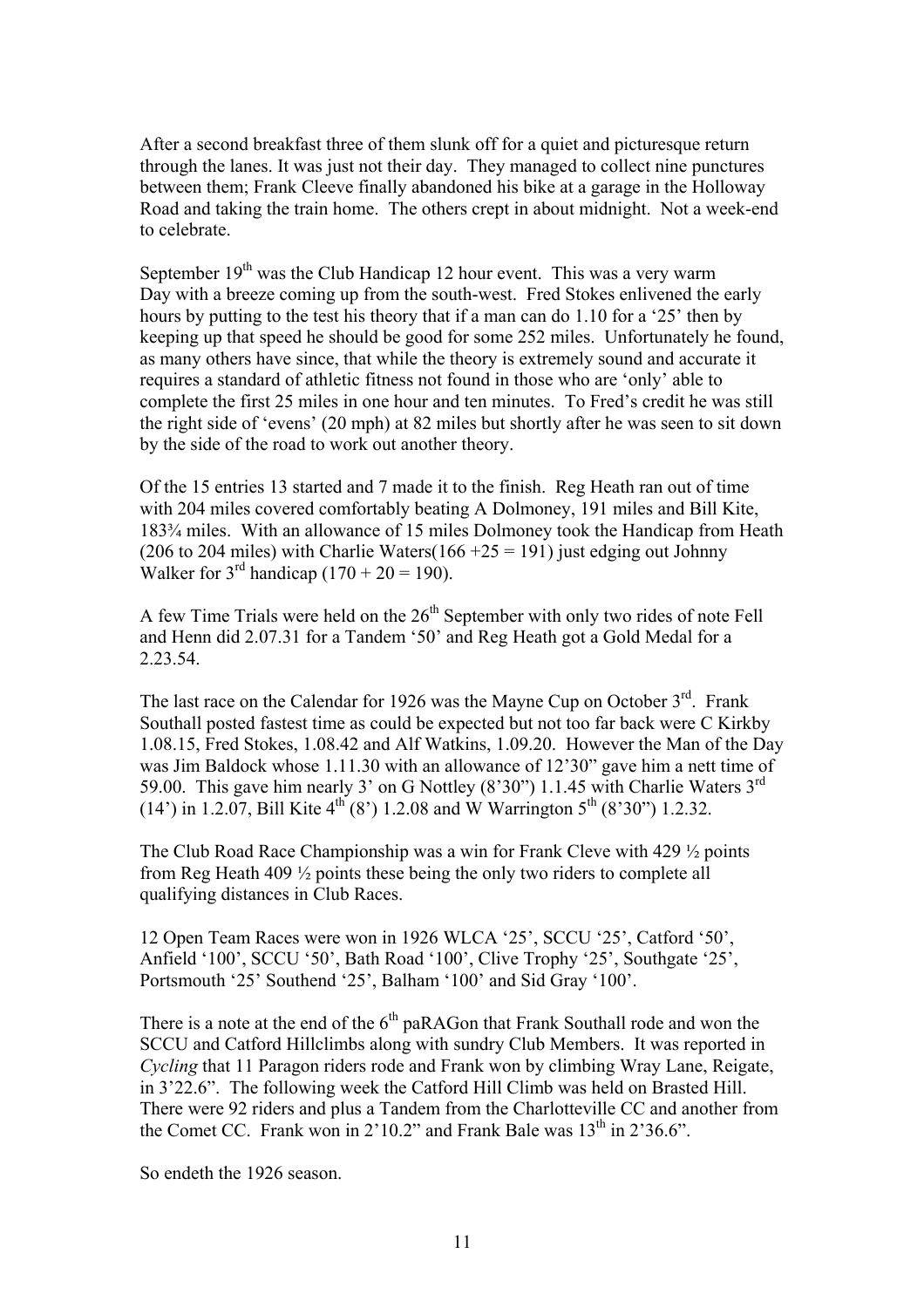After a second breakfast three of them slunk off for a quiet and picturesque return through the lanes. It was just not their day. They managed to collect nine punctures between them; Frank Cleeve finally abandoned his bike at a garage in the Holloway Road and taking the train home. The others crept in about midnight. Not a week-end to celebrate.

September  $19<sup>th</sup>$  was the Club Handicap 12 hour event. This was a very warm Day with a breeze coming up from the south-west. Fred Stokes enlivened the early hours by putting to the test his theory that if a man can do 1.10 for a '25' then by keeping up that speed he should be good for some 252 miles. Unfortunately he found, as many others have since, that while the theory is extremely sound and accurate it requires a standard of athletic fitness not found in those who are 'only' able to complete the first 25 miles in one hour and ten minutes. To Fred's credit he was still the right side of 'evens' (20 mph) at 82 miles but shortly after he was seen to sit down by the side of the road to work out another theory.

Of the 15 entries 13 started and 7 made it to the finish. Reg Heath ran out of time with 204 miles covered comfortably beating A Dolmoney, 191 miles and Bill Kite, 183¾ miles. With an allowance of 15 miles Dolmoney took the Handicap from Heath (206 to 204 miles) with Charlie Waters( $166 + 25 = 191$ ) just edging out Johnny Walker for  $3<sup>rd</sup>$  handicap (170 + 20 = 190).

A few Time Trials were held on the  $26<sup>th</sup>$  September with only two rides of note Fell and Henn did 2.07.31 for a Tandem '50' and Reg Heath got a Gold Medal for a 2.23.54.

The last race on the Calendar for 1926 was the Mayne Cup on October  $3<sup>rd</sup>$ . Frank Southall posted fastest time as could be expected but not too far back were C Kirkby 1.08.15, Fred Stokes, 1.08.42 and Alf Watkins, 1.09.20. However the Man of the Day was Jim Baldock whose 1.11.30 with an allowance of 12'30" gave him a nett time of 59.00. This gave him nearly 3' on G Nottley (8'30") 1.1.45 with Charlie Waters 3rd (14') in 1.2.07, Bill Kite  $4^{th}$  (8') 1.2.08 and W Warrington 5<sup>th</sup> (8'30") 1.2.32.

The Club Road Race Championship was a win for Frank Cleve with 429 ½ points from Reg Heath 409 ½ points these being the only two riders to complete all qualifying distances in Club Races.

12 Open Team Races were won in 1926 WLCA '25', SCCU '25', Catford '50', Anfield '100', SCCU '50', Bath Road '100', Clive Trophy '25', Southgate '25', Portsmouth '25' Southend '25', Balham '100' and Sid Gray '100'.

There is a note at the end of the  $6<sup>th</sup>$  paRAGon that Frank Southall rode and won the SCCU and Catford Hillclimbs along with sundry Club Members. It was reported in *Cycling* that 11 Paragon riders rode and Frank won by climbing Wray Lane, Reigate, in 3'22.6". The following week the Catford Hill Climb was held on Brasted Hill. There were 92 riders and plus a Tandem from the Charlotteville CC and another from the Comet CC. Frank won in  $2'10.2"$  and Frank Bale was  $13<sup>th</sup>$  in  $2'36.6"$ .

So endeth the 1926 season.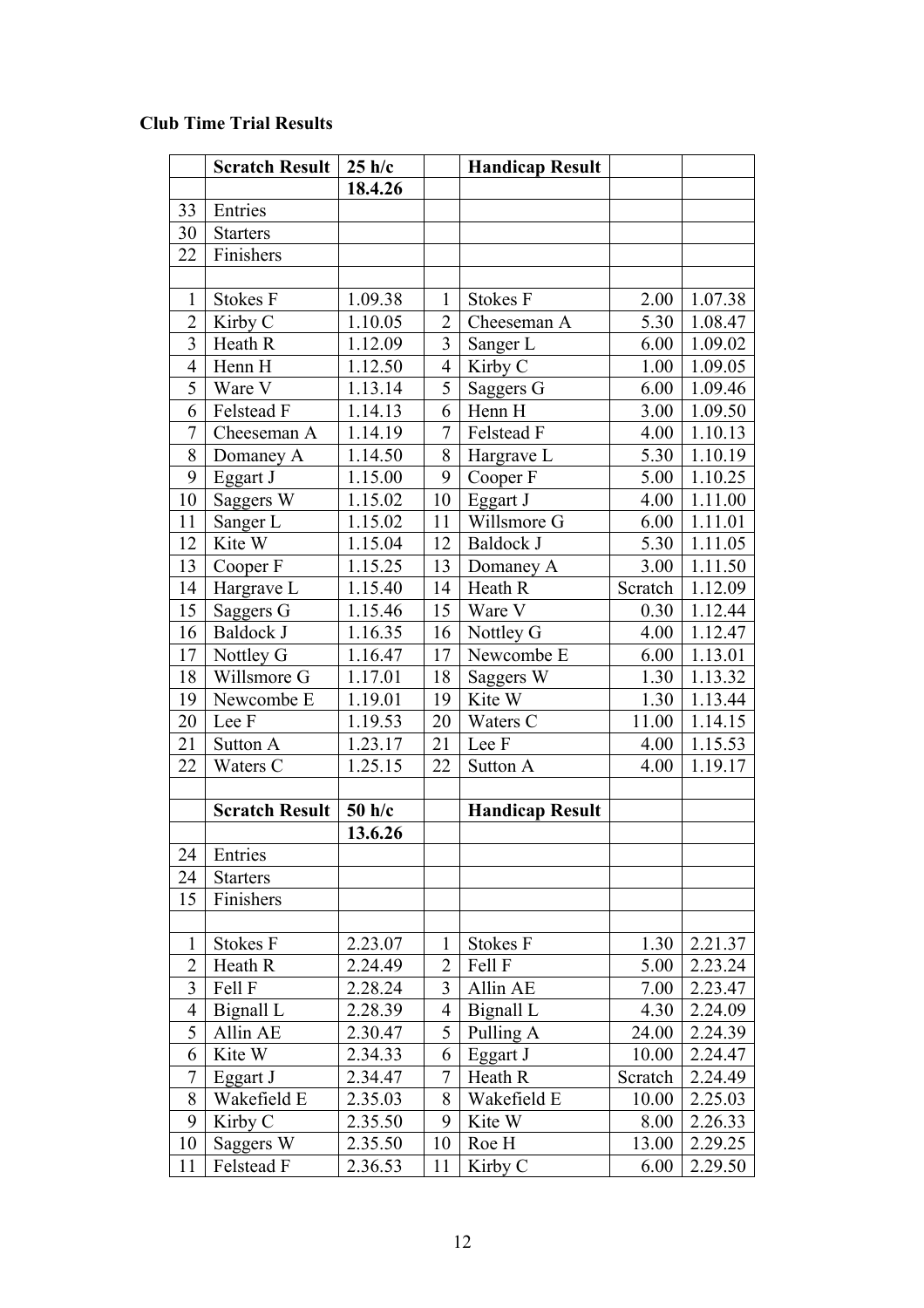## **Club Time Trial Results**

|                | <b>Scratch Result</b> | 25 h/c  |                | <b>Handicap Result</b> |         |         |
|----------------|-----------------------|---------|----------------|------------------------|---------|---------|
|                |                       | 18.4.26 |                |                        |         |         |
| 33             | Entries               |         |                |                        |         |         |
| 30             | <b>Starters</b>       |         |                |                        |         |         |
| 22             | Finishers             |         |                |                        |         |         |
|                |                       |         |                |                        |         |         |
| $\mathbf{1}$   | <b>Stokes F</b>       | 1.09.38 | 1              | <b>Stokes F</b>        | 2.00    | 1.07.38 |
| $\overline{2}$ | Kirby C               | 1.10.05 | $\overline{2}$ | Cheeseman A            | 5.30    | 1.08.47 |
| 3              | Heath R               | 1.12.09 | 3              | Sanger L               | 6.00    | 1.09.02 |
| 4              | Henn H                | 1.12.50 | $\overline{4}$ | Kirby C                | 1.00    | 1.09.05 |
| 5              | Ware V                | 1.13.14 | 5              | Saggers G              | 6.00    | 1.09.46 |
| 6              | Felstead F            | 1.14.13 | 6              | Henn H                 | 3.00    | 1.09.50 |
| 7              | Cheeseman A           | 1.14.19 | $\overline{7}$ | Felstead F             | 4.00    | 1.10.13 |
| 8              | Domaney A             | 1.14.50 | 8              | Hargrave L             | 5.30    | 1.10.19 |
| 9              | Eggart J              | 1.15.00 | 9              | Cooper F               | 5.00    | 1.10.25 |
| 10             | Saggers W             | 1.15.02 | 10             | Eggart J               | 4.00    | 1.11.00 |
| 11             | Sanger L              | 1.15.02 | 11             | Willsmore G            | 6.00    | 1.11.01 |
| 12             | Kite W                | 1.15.04 | 12             | Baldock J              | 5.30    | 1.11.05 |
| 13             | Cooper F              | 1.15.25 | 13             | Domaney A              | 3.00    | 1.11.50 |
| 14             | Hargrave L            | 1.15.40 | 14             | Heath R                | Scratch | 1.12.09 |
| 15             | Saggers G             | 1.15.46 | 15             | Ware V                 | 0.30    | 1.12.44 |
| 16             | Baldock J             | 1.16.35 | 16             | Nottley G              | 4.00    | 1.12.47 |
| 17             | Nottley G             | 1.16.47 | 17             | Newcombe E             | 6.00    | 1.13.01 |
| 18             | Willsmore G           | 1.17.01 | 18             | Saggers W              | 1.30    | 1.13.32 |
| 19             | Newcombe E            | 1.19.01 | 19             | Kite W                 | 1.30    | 1.13.44 |
| 20             | Lee F                 | 1.19.53 | 20             | Waters C               | 11.00   | 1.14.15 |
| 21             | Sutton A              | 1.23.17 | 21             | Lee F                  | 4.00    | 1.15.53 |
| 22             | Waters C              | 1.25.15 | 22             | Sutton A               | 4.00    | 1.19.17 |
|                |                       |         |                |                        |         |         |
|                | <b>Scratch Result</b> | 50 h/c  |                | <b>Handicap Result</b> |         |         |
|                |                       | 13.6.26 |                |                        |         |         |
| 24             | Entries               |         |                |                        |         |         |
| 24             | <b>Starters</b>       |         |                |                        |         |         |
| 15             | Finishers             |         |                |                        |         |         |
|                |                       |         |                |                        |         |         |
| $\mathbf{1}$   | <b>Stokes F</b>       | 2.23.07 | 1              | <b>Stokes F</b>        | 1.30    | 2.21.37 |
| $\overline{2}$ | Heath R               | 2.24.49 | $\overline{2}$ | Fell F                 | 5.00    | 2.23.24 |
| 3              | Fell F                | 2.28.24 | 3              | Allin AE               | 7.00    | 2.23.47 |
| 4              | Bignall L             | 2.28.39 | 4              | Bignall L              | 4.30    | 2.24.09 |
| 5              | Allin AE              | 2.30.47 | 5              | Pulling A              | 24.00   | 2.24.39 |
| 6              | Kite W                | 2.34.33 | 6              | Eggart J               | 10.00   | 2.24.47 |
| 7              | Eggart J              | 2.34.47 | 7              | Heath R                | Scratch | 2.24.49 |
| 8              | Wakefield E           | 2.35.03 | 8              | Wakefield E            | 10.00   | 2.25.03 |
| 9              | Kirby C               | 2.35.50 | 9              | Kite W                 | 8.00    | 2.26.33 |
| 10             | Saggers W             | 2.35.50 | 10             | Roe H                  | 13.00   | 2.29.25 |
| 11             | Felstead F            | 2.36.53 | 11             | Kirby C                | 6.00    | 2.29.50 |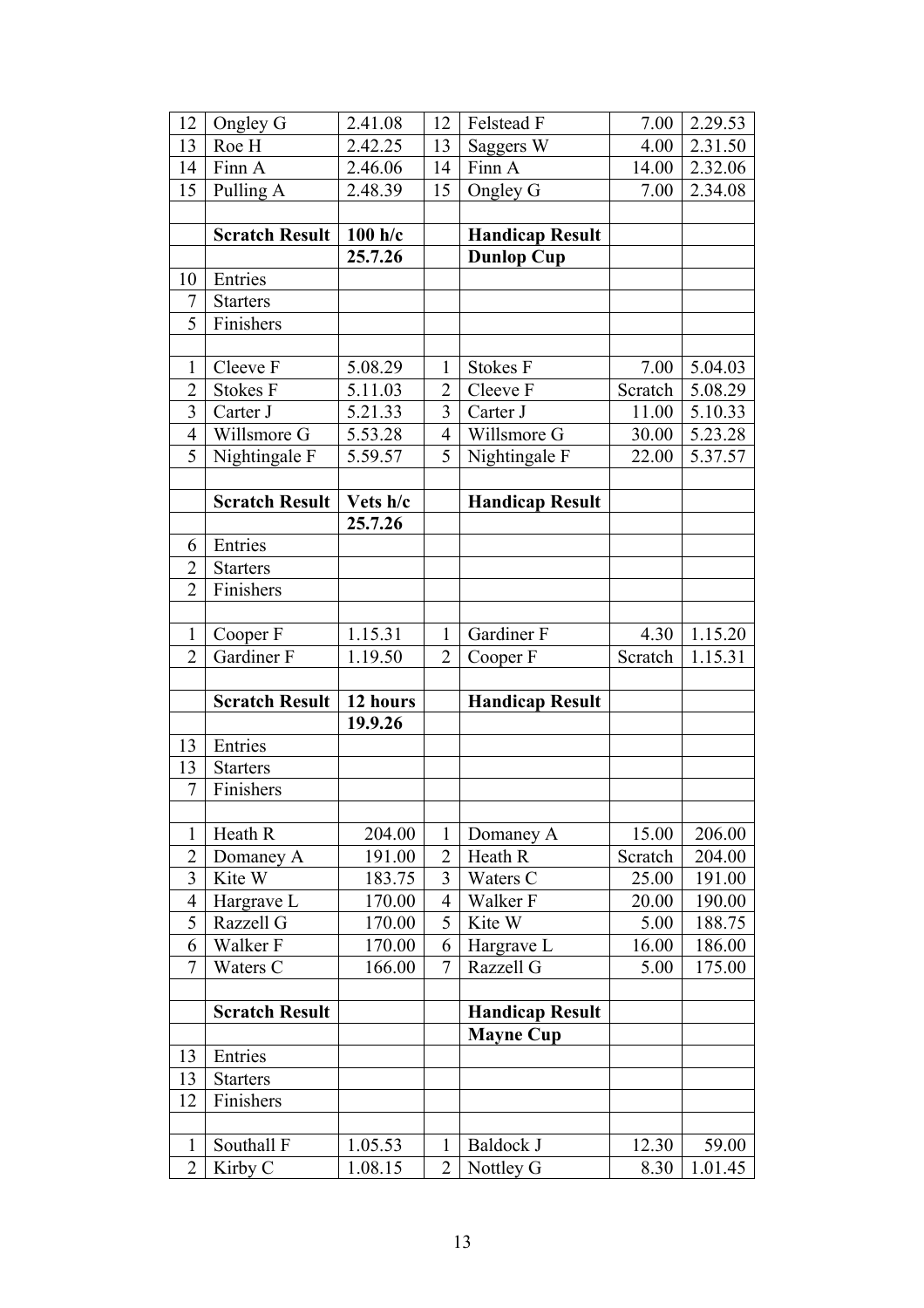| 12                               | Ongley G                   | 2.41.08             | 12                  | Felstead F                    | 7.00          | 2.29.53          |
|----------------------------------|----------------------------|---------------------|---------------------|-------------------------------|---------------|------------------|
| 13                               | Roe H                      | 2.42.25             | 13                  | Saggers W                     | 4.00          | 2.31.50          |
| 14                               | Finn A                     | 2.46.06             | 14                  | Finn A                        | 14.00         | 2.32.06          |
| 15                               | Pulling A                  | 2.48.39             | 15                  | Ongley G                      | 7.00          | 2.34.08          |
|                                  |                            |                     |                     |                               |               |                  |
|                                  | <b>Scratch Result</b>      | 100 h/c             |                     | <b>Handicap Result</b>        |               |                  |
|                                  |                            | 25.7.26             |                     | <b>Dunlop Cup</b>             |               |                  |
| 10                               | Entries                    |                     |                     |                               |               |                  |
| 7                                | <b>Starters</b>            |                     |                     |                               |               |                  |
| $\overline{5}$                   | Finishers                  |                     |                     |                               |               |                  |
|                                  |                            |                     |                     |                               |               |                  |
| 1                                | Cleeve F                   | 5.08.29             | 1                   | <b>Stokes F</b>               | 7.00          | 5.04.03          |
| $\overline{2}$                   | <b>Stokes F</b>            | 5.11.03             | $\overline{2}$      | Cleeve F                      | Scratch       | 5.08.29          |
| $\overline{3}$                   | Carter J                   | 5.21.33             | 3                   | Carter J                      | 11.00         | 5.10.33          |
| $\overline{4}$                   | Willsmore G                | 5.53.28             | $\overline{4}$      | Willsmore G                   | 30.00         | 5.23.28          |
| 5                                | Nightingale F              | 5.59.57             | 5                   | Nightingale F                 | 22.00         | 5.37.57          |
|                                  |                            |                     |                     |                               |               |                  |
|                                  | <b>Scratch Result</b>      | Vets h/c            |                     | <b>Handicap Result</b>        |               |                  |
|                                  |                            | 25.7.26             |                     |                               |               |                  |
| 6                                | Entries                    |                     |                     |                               |               |                  |
| $\overline{2}$<br>$\overline{2}$ | <b>Starters</b>            |                     |                     |                               |               |                  |
|                                  | Finishers                  |                     |                     |                               |               |                  |
| 1                                | Cooper F                   | 1.15.31             | 1                   | Gardiner F                    | 4.30          | 1.15.20          |
|                                  |                            |                     |                     |                               |               |                  |
|                                  |                            |                     |                     |                               |               |                  |
| $\overline{2}$                   | Gardiner F                 | 1.19.50             | $\overline{2}$      | Cooper F                      | Scratch       | 1.15.31          |
|                                  |                            |                     |                     |                               |               |                  |
|                                  | <b>Scratch Result</b>      | 12 hours<br>19.9.26 |                     | <b>Handicap Result</b>        |               |                  |
|                                  |                            |                     |                     |                               |               |                  |
| 13<br>13                         | Entries<br><b>Starters</b> |                     |                     |                               |               |                  |
| 7                                | Finishers                  |                     |                     |                               |               |                  |
|                                  |                            |                     |                     |                               |               |                  |
| $\mathbf{1}$                     | Heath R                    | 204.00              | 1                   | Domaney A                     | 15.00         | 206.00           |
| $\overline{2}$                   | Domaney A                  | 191.00              | $\overline{2}$      | Heath R                       | Scratch       | 204.00           |
| 3                                | Kite W                     | 183.75              | 3                   | Waters C                      | 25.00         | 191.00           |
| $\overline{4}$                   | Hargrave L                 | 170.00              | $\overline{4}$      | Walker F                      | 20.00         | 190.00           |
| 5                                | Razzell G                  | 170.00              | $\overline{5}$      | Kite W                        | 5.00          | 188.75           |
| 6                                | Walker F                   | 170.00              | 6                   | Hargrave L                    | 16.00         | 186.00           |
| $\overline{7}$                   | Waters C                   | 166.00              | $\overline{7}$      | Razzell G                     | 5.00          | 175.00           |
|                                  |                            |                     |                     |                               |               |                  |
|                                  | <b>Scratch Result</b>      |                     |                     | <b>Handicap Result</b>        |               |                  |
|                                  |                            |                     |                     | <b>Mayne Cup</b>              |               |                  |
| 13                               | Entries                    |                     |                     |                               |               |                  |
| 13                               | <b>Starters</b>            |                     |                     |                               |               |                  |
| 12                               | Finishers                  |                     |                     |                               |               |                  |
|                                  |                            |                     |                     |                               |               |                  |
| $\mathbf{1}$<br>$\overline{2}$   | Southall F<br>Kirby C      | 1.05.53<br>1.08.15  | 1<br>$\overline{2}$ | <b>Baldock J</b><br>Nottley G | 12.30<br>8.30 | 59.00<br>1.01.45 |